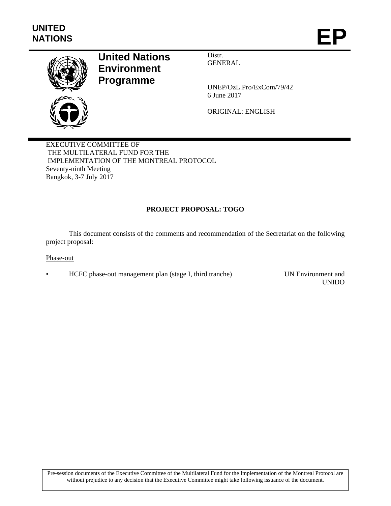

# **United Nations Environment Programme**

Distr. GENERAL

UNEP/OzL.Pro/ExCom/79/42 6 June 2017

ORIGINAL: ENGLISH

EXECUTIVE COMMITTEE OF THE MULTILATERAL FUND FOR THE IMPLEMENTATION OF THE MONTREAL PROTOCOL Seventy-ninth Meeting Bangkok, 3-7 July 2017

# **PROJECT PROPOSAL: TOGO**

This document consists of the comments and recommendation of the Secretariat on the following project proposal:

#### Phase-out

• HCFC phase-out management plan (stage I, third tranche) UN Environment and

UNIDO

Pre-session documents of the Executive Committee of the Multilateral Fund for the Implementation of the Montreal Protocol are without prejudice to any decision that the Executive Committee might take following issuance of the document.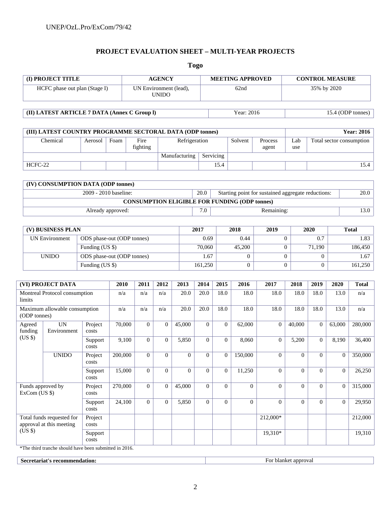# **PROJECT EVALUATION SHEET – MULTI-YEAR PROJECTS**

**Togo** 

| (I) PROJECT TITLE                                                |                                                           | <b>AGENCY</b>                                 |                  |                                        |                | <b>MEETING APPROVED</b> |                |                             | <b>CONTROL MEASURE</b>                               |                                                    |                   |                |                          |                     |  |
|------------------------------------------------------------------|-----------------------------------------------------------|-----------------------------------------------|------------------|----------------------------------------|----------------|-------------------------|----------------|-----------------------------|------------------------------------------------------|----------------------------------------------------|-------------------|----------------|--------------------------|---------------------|--|
| HCFC phase out plan (Stage I)                                    |                                                           |                                               |                  | UN Environment (lead),<br><b>UNIDO</b> |                |                         |                | 62nd                        |                                                      |                                                    | 35% by 2020       |                |                          |                     |  |
| (II) LATEST ARTICLE 7 DATA (Annex C Group I)                     |                                                           |                                               |                  |                                        |                |                         |                |                             | Year: 2016                                           |                                                    | 15.4 (ODP tonnes) |                |                          |                     |  |
|                                                                  |                                                           |                                               |                  |                                        |                |                         |                |                             |                                                      |                                                    |                   |                |                          |                     |  |
|                                                                  | (III) LATEST COUNTRY PROGRAMME SECTORAL DATA (ODP tonnes) |                                               |                  |                                        |                |                         |                |                             |                                                      |                                                    |                   |                |                          | <b>Year: 2016</b>   |  |
| Chemical<br>Aerosol                                              |                                                           | Foam                                          | Fire<br>fighting |                                        |                | Refrigeration           |                | Solvent<br>Process<br>agent |                                                      | Lab<br>use                                         |                   |                | Total sector consumption |                     |  |
| HCFC-22                                                          |                                                           |                                               |                  |                                        |                | Manufacturing           | Servicing      | 15.4                        |                                                      |                                                    |                   |                |                          | 15.4                |  |
|                                                                  |                                                           |                                               |                  |                                        |                |                         |                |                             |                                                      |                                                    |                   |                |                          |                     |  |
|                                                                  | (IV) CONSUMPTION DATA (ODP tonnes)                        |                                               |                  |                                        |                |                         |                |                             |                                                      |                                                    |                   |                |                          |                     |  |
|                                                                  |                                                           | 2009 - 2010 baseline:                         |                  |                                        |                |                         | 20.0           |                             |                                                      | Starting point for sustained aggregate reductions: |                   |                |                          | 20.0                |  |
|                                                                  |                                                           |                                               |                  |                                        |                |                         |                |                             | <b>CONSUMPTION ELIGIBLE FOR FUNDING (ODP tonnes)</b> |                                                    |                   |                |                          |                     |  |
|                                                                  |                                                           | Already approved:                             |                  |                                        |                |                         | 7.0            |                             | Remaining:                                           |                                                    |                   |                |                          | 13.0                |  |
|                                                                  |                                                           |                                               |                  |                                        |                |                         |                |                             |                                                      |                                                    |                   |                |                          |                     |  |
|                                                                  | (V) BUSINESS PLAN                                         |                                               |                  |                                        |                |                         | 2017           |                             | 2018<br>2019                                         |                                                    |                   | 2020           |                          | <b>Total</b>        |  |
|                                                                  | <b>UN Environment</b>                                     | ODS phase-out (ODP tonnes)                    |                  |                                        |                |                         | 0.69           |                             | 0.44                                                 |                                                    | $\boldsymbol{0}$  | 0.7            |                          | 1.83                |  |
| <b>UNIDO</b>                                                     |                                                           | Funding (US \$)                               |                  |                                        |                | 70,060                  |                | 45,200                      |                                                      | $\overline{0}$                                     | 71,190            |                | 186,450                  |                     |  |
|                                                                  |                                                           | ODS phase-out (ODP tonnes)<br>Funding (US \$) |                  |                                        |                |                         | 1.67           |                             | $\mathbf{0}$                                         |                                                    | $\boldsymbol{0}$  | $\theta$       |                          | 1.67                |  |
|                                                                  |                                                           |                                               |                  |                                        |                |                         | 161,250        |                             | $\mathbf{0}$                                         |                                                    | $\overline{0}$    | $\overline{0}$ |                          | 161,250             |  |
|                                                                  | (VI) PROJECT DATA                                         |                                               | 2010             | 2011                                   | 2012           | 2013                    | 2014           | 2015                        | 2016                                                 | 2017                                               | 2018              | 2019           | 2020                     | <b>Total</b>        |  |
| Montreal Protocol consumption<br>limits                          |                                                           |                                               | n/a              | n/a                                    | n/a            | 20.0                    | 20.0           | 18.0                        | 18.0                                                 | 18.0                                               | 18.0              | 18.0           | 13.0                     | n/a                 |  |
| Maximum allowable consumption<br>(ODP tonnes)                    |                                                           |                                               | n/a              | n/a                                    | n/a            | 20.0                    | 20.0           | 18.0                        | 18.0                                                 | 18.0                                               | 18.0              | 18.0           | 13.0                     | n/a                 |  |
| Agreed<br>funding                                                | <b>UN</b><br>Environment                                  | Project<br>costs                              | 70,000           | $\overline{0}$                         | $\overline{0}$ | 45,000                  | $\Omega$       | $\mathbf{0}$                | 62,000                                               | $\overline{0}$                                     | 40,000            | $\Omega$       | 63,000                   | 280,000             |  |
| (US \$)                                                          |                                                           | Support<br>costs                              | 9,100            | $\Omega$                               | $\Omega$       | 5,850                   | $\Omega$       | $\Omega$                    | 8,060                                                | $\overline{0}$                                     | 5,200             | $\Omega$       | 8,190                    | 36,400              |  |
|                                                                  | <b>UNIDO</b>                                              | Project<br>costs                              | 200,000          | $\boldsymbol{0}$                       | $\overline{0}$ | $\boldsymbol{0}$        | $\overline{0}$ | $\overline{0}$              | 150,000                                              | $\overline{0}$                                     | $\boldsymbol{0}$  | $\overline{0}$ |                          | $\boxed{0}$ 350,000 |  |
|                                                                  |                                                           | Support<br>costs                              | 15,000           | $\boldsymbol{0}$                       | $\mathbf{0}$   | $\overline{0}$          | $\overline{0}$ | $\mathbf{0}$                | 11,250                                               | $\overline{0}$                                     | $\overline{0}$    | $\overline{0}$ | $\mathbf{0}$             | 26,250              |  |
| Funds approved by<br>ExCom (US \$)                               |                                                           | Project<br>costs                              | 270,000          | $\overline{0}$                         | $\overline{0}$ | 45,000                  | $\theta$       | $\overline{0}$              | $\overline{0}$                                       | $\overline{0}$                                     | $\overline{0}$    | $\overline{0}$ | $\overline{0}$           | 315,000             |  |
|                                                                  |                                                           | Support<br>$\cos\!t$                          | 24,100           | $\overline{0}$                         | $\mathbf{0}$   | 5,850                   | $\overline{0}$ | $\mathbf{0}$                | $\overline{0}$                                       | $\overline{0}$                                     | $\overline{0}$    | $\overline{0}$ | $\mathbf{0}$             | 29,950              |  |
| Total funds requested for<br>approval at this meeting<br>$(US \$ |                                                           | Project<br>$\cos\!t$                          |                  |                                        |                |                         |                |                             |                                                      | 212,000*                                           |                   |                |                          | 212,000             |  |
|                                                                  |                                                           | Support                                       |                  |                                        |                |                         |                |                             |                                                      | $19,310*$                                          |                   |                |                          | 19,310              |  |

**Secretariat's recommendation:** For blanket approval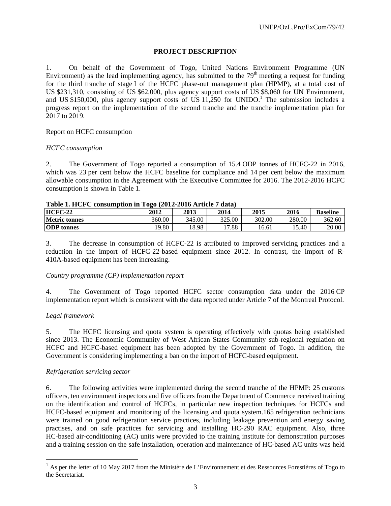# **PROJECT DESCRIPTION**

1. On behalf of the Government of Togo, United Nations Environment Programme (UN Environment) as the lead implementing agency, has submitted to the  $79<sup>th</sup>$  meeting a request for funding for the third tranche of stage I of the HCFC phase-out management plan (HPMP), at a total cost of US \$231,310, consisting of US \$62,000, plus agency support costs of US \$8,060 for UN Environment, and US \$150,000, plus agency support costs of US  $11,250$  for UNIDO.<sup>1</sup> The submission includes a progress report on the implementation of the second tranche and the tranche implementation plan for 2017 to 2019.

# Report on HCFC consumption

#### *HCFC consumption*

2. The Government of Togo reported a consumption of 15.4 ODP tonnes of HCFC-22 in 2016, which was 23 per cent below the HCFC baseline for compliance and 14 per cent below the maximum allowable consumption in the Agreement with the Executive Committee for 2016. The 2012-2016 HCFC consumption is shown in Table 1.

| Table 1. HCFC consumption in 10go (2012-2016 Article 7 data) |        |             |        |        |        |                 |  |  |  |
|--------------------------------------------------------------|--------|-------------|--------|--------|--------|-----------------|--|--|--|
| HCFC-22                                                      | 2012   | <b>2013</b> | 2014   | 2015   | 2016   | <b>Baseline</b> |  |  |  |
| <b>Metric tonnes</b>                                         | 360.00 | 345.00      | 325.00 | 302.00 | 280.00 | 362.60          |  |  |  |
| <b>ODP</b> tonnes                                            | 19.80  | 18.98       | 17.88  | 16.61  | 15.40  | 20.00           |  |  |  |

# $T$  **T**  $\boldsymbol{A}$  **T T** *CFC* **consumption in Togo (2012-2016 Article 7 d**)

3. The decrease in consumption of HCFC-22 is attributed to improved servicing practices and a reduction in the import of HCFC-22-based equipment since 2012. In contrast, the import of R-410A-based equipment has been increasing.

# *Country programme (CP) implementation report*

4. The Government of Togo reported HCFC sector consumption data under the 2016 CP implementation report which is consistent with the data reported under Article 7 of the Montreal Protocol.

# *Legal framework*

l

5. The HCFC licensing and quota system is operating effectively with quotas being established since 2013. The Economic Community of West African States Community sub-regional regulation on HCFC and HCFC-based equipment has been adopted by the Government of Togo. In addition, the Government is considering implementing a ban on the import of HCFC-based equipment.

#### *Refrigeration servicing sector*

6. The following activities were implemented during the second tranche of the HPMP: 25 customs officers, ten environment inspectors and five officers from the Department of Commerce received training on the identification and control of HCFCs, in particular new inspection techniques for HCFCs and HCFC-based equipment and monitoring of the licensing and quota system.165 refrigeration technicians were trained on good refrigeration service practices, including leakage prevention and energy saving practises, and on safe practices for servicing and installing HC-290 RAC equipment. Also, three HC-based air-conditioning (AC) units were provided to the training institute for demonstration purposes and a training session on the safe installation, operation and maintenance of HC-based AC units was held

 $<sup>1</sup>$  As per the letter of 10 May 2017 from the Ministère de L'Environnement et des Ressources Forestières of Togo to</sup> the Secretariat.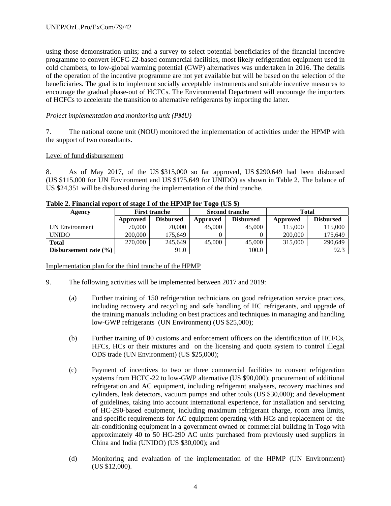using those demonstration units; and a survey to select potential beneficiaries of the financial incentive programme to convert HCFC-22-based commercial facilities, most likely refrigeration equipment used in cold chambers, to low-global warming potential (GWP) alternatives was undertaken in 2016. The details of the operation of the incentive programme are not yet available but will be based on the selection of the beneficiaries. The goal is to implement socially acceptable instruments and suitable incentive measures to encourage the gradual phase-out of HCFCs. The Environmental Department will encourage the importers of HCFCs to accelerate the transition to alternative refrigerants by importing the latter.

# *Project implementation and monitoring unit (PMU)*

7. The national ozone unit (NOU) monitored the implementation of activities under the HPMP with the support of two consultants.

#### Level of fund disbursement

8. As of May 2017, of the US \$315,000 so far approved, US \$290,649 had been disbursed (US \$115,000 for UN Environment and US \$175,649 for UNIDO) as shown in Table 2. The balance of US \$24,351 will be disbursed during the implementation of the third tranche.

| TWOLE IT INVESTIGATE LEGAL CONSIDERING THE LOST LOST COMPT.<br>Agency |          | <b>First tranche</b> |          | <b>Second tranche</b> | <b>Total</b> |                  |  |
|-----------------------------------------------------------------------|----------|----------------------|----------|-----------------------|--------------|------------------|--|
|                                                                       | Approved | <b>Disbursed</b>     | Approved | <b>Disbursed</b>      | Approved     | <b>Disbursed</b> |  |
| UN Environment                                                        | 70,000   | 70,000               | 45,000   | 45,000                | 115,000      | 115,000          |  |
| <b>UNIDO</b>                                                          | 200,000  | 175.649              |          |                       | 200,000      | 175,649          |  |
| <b>Total</b>                                                          | 270,000  | 245,649              | 45,000   | 45,000                | 315,000      | 290,649          |  |
| Disbursement rate $(\% )$                                             |          | 91.0                 |          | 100.0                 |              | 92.3             |  |

# **Table 2. Financial report of stage I of the HPMP for Togo (US \$)**

#### Implementation plan for the third tranche of the HPMP

- 9. The following activities will be implemented between 2017 and 2019:
	- (a) Further training of 150 refrigeration technicians on good refrigeration service practices, including recovery and recycling and safe handling of HC refrigerants, and upgrade of the training manuals including on best practices and techniques in managing and handling low-GWP refrigerants (UN Environment) (US \$25,000);
	- (b) Further training of 80 customs and enforcement officers on the identification of HCFCs, HFCs, HCs or their mixtures and on the licensing and quota system to control illegal ODS trade (UN Environment) (US \$25,000);
	- (c) Payment of incentives to two or three commercial facilities to convert refrigeration systems from HCFC-22 to low-GWP alternative (US \$90,000); procurement of additional refrigeration and AC equipment, including refrigerant analysers, recovery machines and cylinders, leak detectors, vacuum pumps and other tools (US \$30,000); and development of guidelines, taking into account international experience, for installation and servicing of HC-290-based equipment, including maximum refrigerant charge, room area limits, and specific requirements for AC equipment operating with HCs and replacement of the air-conditioning equipment in a government owned or commercial building in Togo with approximately 40 to 50 HC-290 AC units purchased from previously used suppliers in China and India (UNIDO) (US \$30,000); and
	- (d) Monitoring and evaluation of the implementation of the HPMP (UN Environment) (US \$12,000).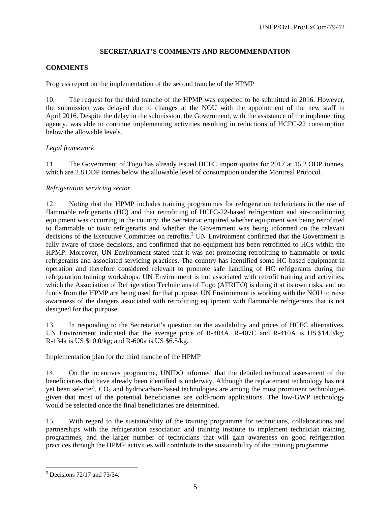# **SECRETARIAT'S COMMENTS AND RECOMMENDATION**

# **COMMENTS**

# Progress report on the implementation of the second tranche of the HPMP

10. The request for the third tranche of the HPMP was expected to be submitted in 2016. However, the submission was delayed due to changes at the NOU with the appointment of the new staff in April 2016. Despite the delay in the submission, the Government, with the assistance of the implementing agency, was able to continue implementing activities resulting in reductions of HCFC-22 consumption below the allowable levels.

# *Legal framework*

11. The Government of Togo has already issued HCFC import quotas for 2017 at 15.2 ODP tonnes, which are 2.8 ODP tonnes below the allowable level of consumption under the Montreal Protocol.

# *Refrigeration servicing sector*

12. Noting that the HPMP includes training programmes for refrigeration technicians in the use of flammable refrigerants (HC) and that retrofitting of HCFC-22-based refrigeration and air-conditioning equipment was occurring in the country, the Secretariat enquired whether equipment was being retrofitted to flammable or toxic refrigerants and whether the Government was being informed on the relevant decisions of the Executive Committee on retrofits.<sup>2</sup> UN Environment confirmed that the Government is fully aware of those decisions, and confirmed that no equipment has been retrofitted to HCs within the HPMP. Moreover, UN Environment stated that it was not promoting retrofitting to flammable or toxic refrigerants and associated servicing practices. The country has identified some HC-based equipment in operation and therefore considered relevant to promote safe handling of HC refrigerants during the refrigeration training workshops. UN Environment is not associated with retrofit training and activities, which the Association of Refrigeration Technicians of Togo (AFRITO) is doing it at its own risks, and no funds from the HPMP are being used for that purpose. UN Environment is working with the NOU to raise awareness of the dangers associated with retrofitting equipment with flammable refrigerants that is not designed for that purpose.

13. In responding to the Secretariat's question on the availability and prices of HCFC alternatives, UN Environment indicated that the average price of R-404A, R-407C and R-410A is US \$14.0/kg; R-134a is US \$10.0/kg; and R-600a is US \$6.5/kg.

# Implementation plan for the third tranche of the HPMP

14. On the incentives programme, UNIDO informed that the detailed technical assessment of the beneficiaries that have already been identified is underway. Although the replacement technology has not yet been selected,  $CO<sub>2</sub>$  and hydrocarbon-based technologies are among the most prominent technologies given that most of the potential beneficiaries are cold-room applications. The low-GWP technology would be selected once the final beneficiaries are determined.

15. With regard to the sustainability of the training programme for technicians, collaborations and partnerships with the refrigeration association and training institute to implement technician training programmes, and the larger number of technicians that will gain awareness on good refrigeration practices through the HPMP activities will contribute to the sustainability of the training programme.

 $2^2$  Decisions 72/17 and 73/34.